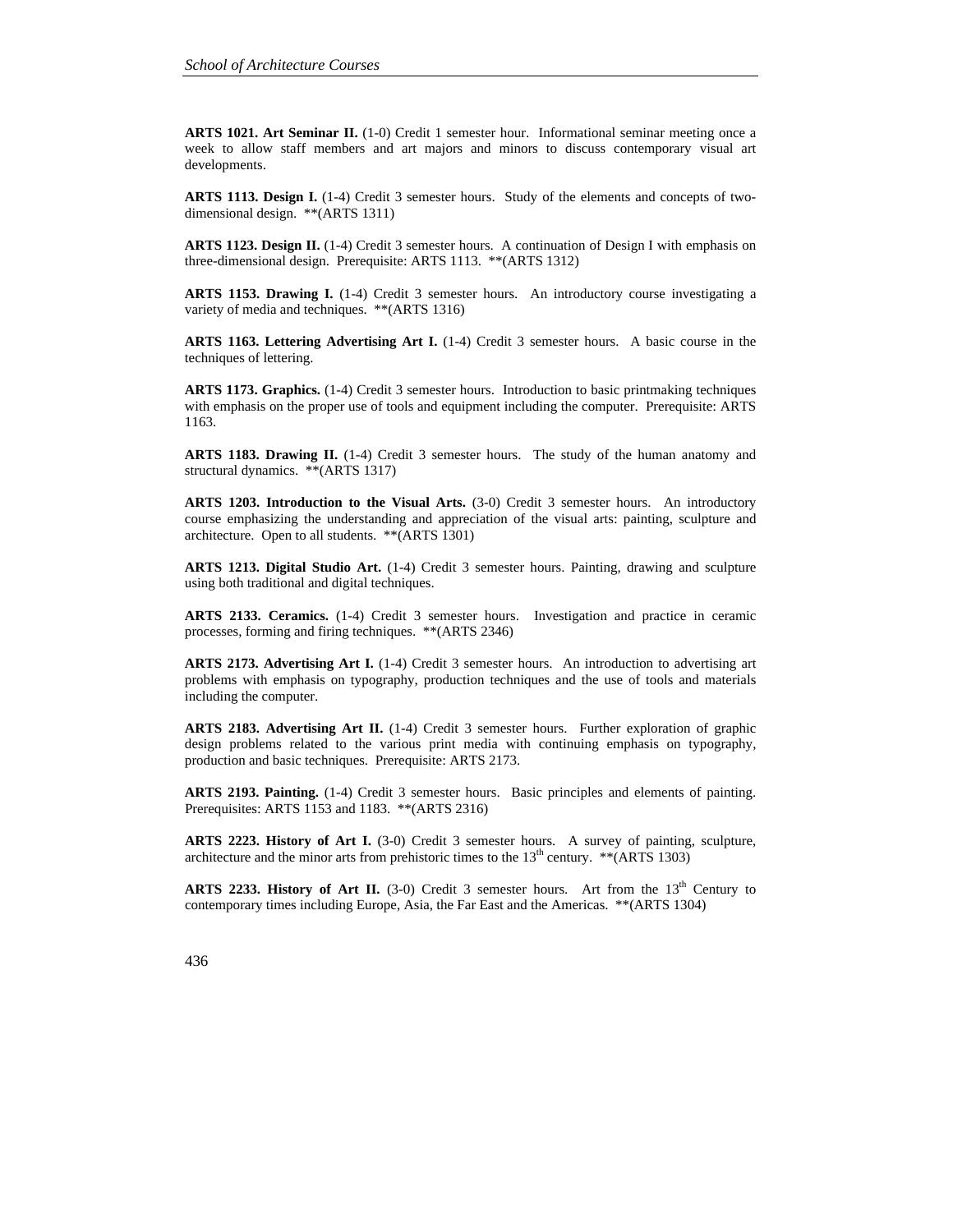**ARTS 1021. Art Seminar II.** (1-0) Credit 1 semester hour. Informational seminar meeting once a week to allow staff members and art majors and minors to discuss contemporary visual art developments.

**ARTS 1113. Design I.** (1-4) Credit 3 semester hours. Study of the elements and concepts of twodimensional design. \*\*(ARTS 1311)

**ARTS 1123. Design II.** (1-4) Credit 3 semester hours. A continuation of Design I with emphasis on three-dimensional design. Prerequisite: ARTS 1113. \*\*(ARTS 1312)

**ARTS 1153. Drawing I.** (1-4) Credit 3 semester hours. An introductory course investigating a variety of media and techniques. \*\*(ARTS 1316)

ARTS 1163. Lettering Advertising Art I. (1-4) Credit 3 semester hours. A basic course in the techniques of lettering.

**ARTS 1173. Graphics.** (1-4) Credit 3 semester hours. Introduction to basic printmaking techniques with emphasis on the proper use of tools and equipment including the computer. Prerequisite: ARTS 1163.

**ARTS 1183. Drawing II.** (1-4) Credit 3 semester hours. The study of the human anatomy and structural dynamics. \*\*(ARTS 1317)

ARTS 1203. Introduction to the Visual Arts.  $(3-0)$  Credit 3 semester hours. An introductory course emphasizing the understanding and appreciation of the visual arts: painting, sculpture and architecture. Open to all students. \*\*(ARTS 1301)

**ARTS 1213. Digital Studio Art.** (1-4) Credit 3 semester hours. Painting, drawing and sculpture using both traditional and digital techniques.

**ARTS 2133. Ceramics.** (1-4) Credit 3 semester hours. Investigation and practice in ceramic processes, forming and firing techniques. \*\*(ARTS 2346)

**ARTS 2173. Advertising Art I.** (1-4) Credit 3 semester hours. An introduction to advertising art problems with emphasis on typography, production techniques and the use of tools and materials including the computer.

**ARTS 2183. Advertising Art II.** (1-4) Credit 3 semester hours. Further exploration of graphic design problems related to the various print media with continuing emphasis on typography, production and basic techniques. Prerequisite: ARTS 2173.

**ARTS 2193. Painting.** (1-4) Credit 3 semester hours. Basic principles and elements of painting. Prerequisites: ARTS 1153 and 1183. \*\*(ARTS 2316)

**ARTS 2223. History of Art I.** (3-0) Credit 3 semester hours. A survey of painting, sculpture, architecture and the minor arts from prehistoric times to the  $13<sup>th</sup>$  century. \*\*(ARTS 1303)

ARTS 2233. History of Art II. (3-0) Credit 3 semester hours. Art from the 13<sup>th</sup> Century to contemporary times including Europe, Asia, the Far East and the Americas. \*\*(ARTS 1304)

436